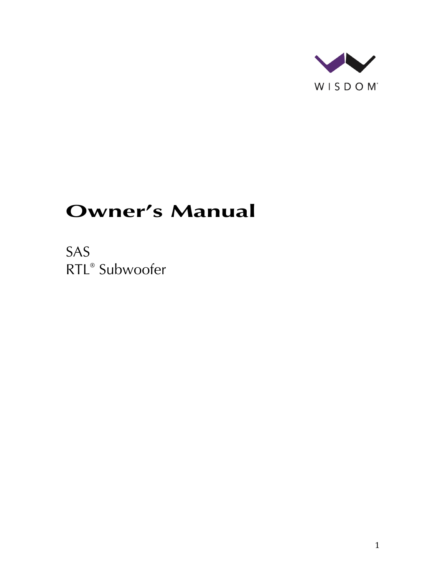

# **Owner's Manual**

SAS RTL® Subwoofer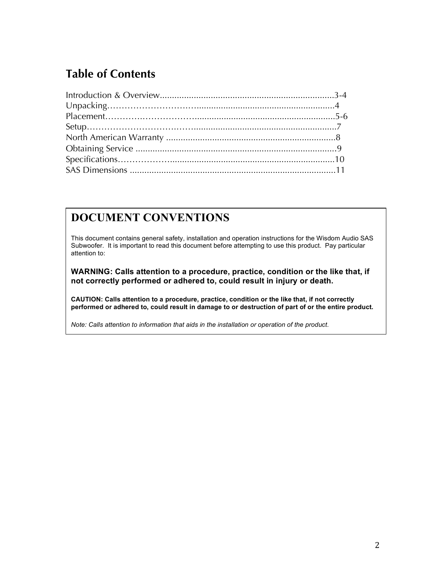# **Table of Contents**

#### **DOCUMENT CONVENTIONS**

This document contains general safety, installation and operation instructions for the Wisdom Audio SAS Subwoofer. It is important to read this document before attempting to use this product. Pay particular attention to:

**WARNING: Calls attention to a procedure, practice, condition or the like that, if not correctly performed or adhered to, could result in injury or death.** 

**CAUTION: Calls attention to a procedure, practice, condition or the like that, if not correctly performed or adhered to, could result in damage to or destruction of part of or the entire product.** 

*Note: Calls attention to information that aids in the installation or operation of the product.*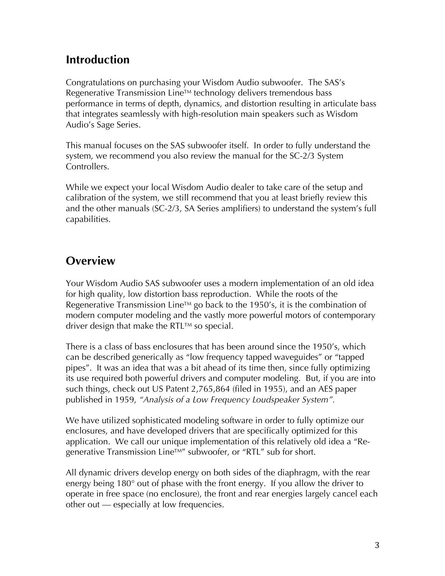### **Introduction**

Congratulations on purchasing your Wisdom Audio subwoofer. The SAS's Regenerative Transmission Line™ technology delivers tremendous bass performance in terms of depth, dynamics, and distortion resulting in articulate bass that integrates seamlessly with high-resolution main speakers such as Wisdom Audio's Sage Series.

This manual focuses on the SAS subwoofer itself. In order to fully understand the system, we recommend you also review the manual for the SC-2/3 System Controllers.

While we expect your local Wisdom Audio dealer to take care of the setup and calibration of the system, we still recommend that you at least briefly review this and the other manuals (SC-2/3, SA Series amplifiers) to understand the system's full capabilities.

# **Overview**

Your Wisdom Audio SAS subwoofer uses a modern implementation of an old idea for high quality, low distortion bass reproduction. While the roots of the Regenerative Transmission Line<sup>TM</sup> go back to the 1950's, it is the combination of modern computer modeling and the vastly more powerful motors of contemporary driver design that make the RTL $TM$  so special.

There is a class of bass enclosures that has been around since the 1950's, which can be described generically as "low frequency tapped waveguides" or "tapped pipes". It was an idea that was a bit ahead of its time then, since fully optimizing its use required both powerful drivers and computer modeling. But, if you are into such things, check out US Patent 2,765,864 (filed in 1955), and an AES paper published in 1959, *"Analysis of a Low Frequency Loudspeaker System".* 

We have utilized sophisticated modeling software in order to fully optimize our enclosures, and have developed drivers that are specifically optimized for this application. We call our unique implementation of this relatively old idea a "Regenerative Transmission Line™" subwoofer, or "RTL" sub for short.

All dynamic drivers develop energy on both sides of the diaphragm, with the rear energy being 180° out of phase with the front energy. If you allow the driver to operate in free space (no enclosure), the front and rear energies largely cancel each other out — especially at low frequencies.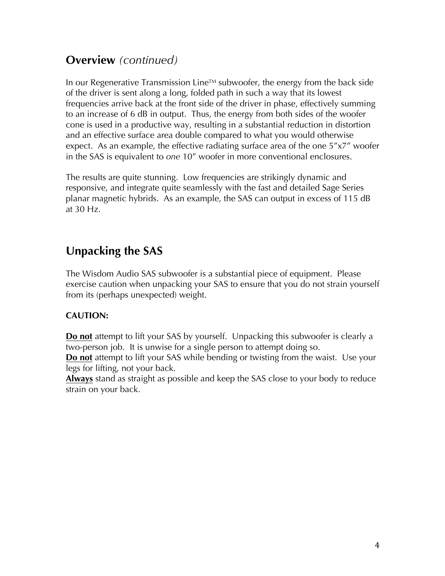## **Overview** *(continued)*

In our Regenerative Transmission Line<sup>TM</sup> subwoofer, the energy from the back side of the driver is sent along a long, folded path in such a way that its lowest frequencies arrive back at the front side of the driver in phase, effectively summing to an increase of 6 dB in output. Thus, the energy from both sides of the woofer cone is used in a productive way, resulting in a substantial reduction in distortion and an effective surface area double compared to what you would otherwise expect. As an example, the effective radiating surface area of the one 5"x7" woofer in the SAS is equivalent to *one* 10" woofer in more conventional enclosures.

The results are quite stunning. Low frequencies are strikingly dynamic and responsive, and integrate quite seamlessly with the fast and detailed Sage Series planar magnetic hybrids. As an example, the SAS can output in excess of 115 dB at 30 Hz.

# **Unpacking the SAS**

The Wisdom Audio SAS subwoofer is a substantial piece of equipment. Please exercise caution when unpacking your SAS to ensure that you do not strain yourself from its (perhaps unexpected) weight.

#### **CAUTION:**

**Do not** attempt to lift your SAS by yourself. Unpacking this subwoofer is clearly a two-person job. It is unwise for a single person to attempt doing so.

**Do not** attempt to lift your SAS while bending or twisting from the waist. Use your legs for lifting, not your back.

**Always** stand as straight as possible and keep the SAS close to your body to reduce strain on your back.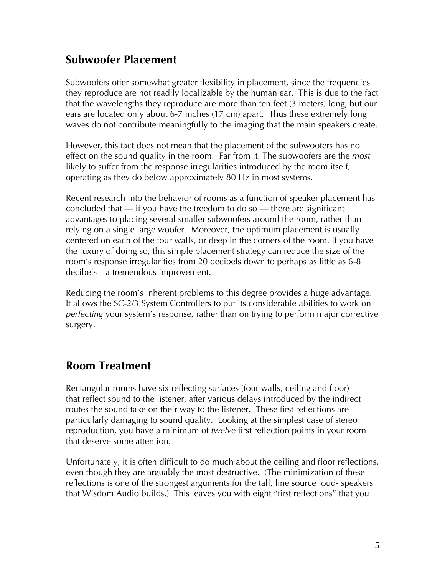### **Subwoofer Placement**

Subwoofers offer somewhat greater flexibility in placement, since the frequencies they reproduce are not readily localizable by the human ear. This is due to the fact that the wavelengths they reproduce are more than ten feet (3 meters) long, but our ears are located only about 6-7 inches (17 cm) apart. Thus these extremely long waves do not contribute meaningfully to the imaging that the main speakers create.

However, this fact does not mean that the placement of the subwoofers has no effect on the sound quality in the room. Far from it. The subwoofers are the *most*  likely to suffer from the response irregularities introduced by the room itself, operating as they do below approximately 80 Hz in most systems.

Recent research into the behavior of rooms as a function of speaker placement has concluded that  $-$  if you have the freedom to do so  $-$  there are significant advantages to placing several smaller subwoofers around the room, rather than relying on a single large woofer. Moreover, the optimum placement is usually centered on each of the four walls, or deep in the corners of the room. If you have the luxury of doing so, this simple placement strategy can reduce the size of the room's response irregularities from 20 decibels down to perhaps as little as 6-8 decibels—a tremendous improvement.

Reducing the room's inherent problems to this degree provides a huge advantage. It allows the SC-2/3 System Controllers to put its considerable abilities to work on *perfecting* your system's response, rather than on trying to perform major corrective surgery.

### **Room Treatment**

Rectangular rooms have six reflecting surfaces (four walls, ceiling and floor) that reflect sound to the listener, after various delays introduced by the indirect routes the sound take on their way to the listener. These first reflections are particularly damaging to sound quality. Looking at the simplest case of stereo reproduction, you have a minimum of *twelve* first reflection points in your room that deserve some attention.

Unfortunately, it is often difficult to do much about the ceiling and floor reflections, even though they are arguably the most destructive. (The minimization of these reflections is one of the strongest arguments for the tall, line source loud- speakers that Wisdom Audio builds.) This leaves you with eight "first reflections" that you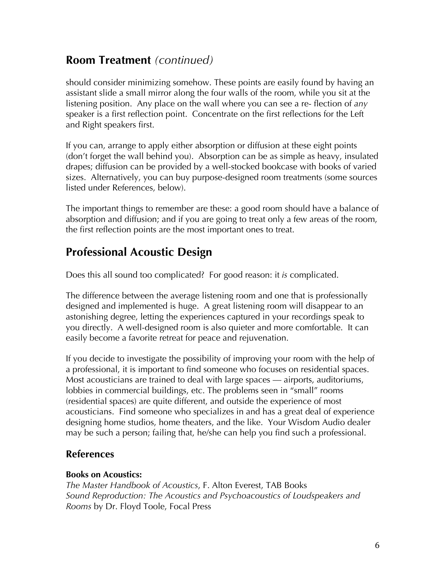### **Room Treatment** *(continued)*

should consider minimizing somehow. These points are easily found by having an assistant slide a small mirror along the four walls of the room, while you sit at the listening position. Any place on the wall where you can see a re- flection of *any*  speaker is a first reflection point. Concentrate on the first reflections for the Left and Right speakers first.

If you can, arrange to apply either absorption or diffusion at these eight points (don't forget the wall behind you). Absorption can be as simple as heavy, insulated drapes; diffusion can be provided by a well-stocked bookcase with books of varied sizes. Alternatively, you can buy purpose-designed room treatments (some sources listed under References, below).

The important things to remember are these: a good room should have a balance of absorption and diffusion; and if you are going to treat only a few areas of the room, the first reflection points are the most important ones to treat.

### **Professional Acoustic Design**

Does this all sound too complicated? For good reason: it *is* complicated.

The difference between the average listening room and one that is professionally designed and implemented is huge. A great listening room will disappear to an astonishing degree, letting the experiences captured in your recordings speak to you directly. A well-designed room is also quieter and more comfortable. It can easily become a favorite retreat for peace and rejuvenation.

If you decide to investigate the possibility of improving your room with the help of a professional, it is important to find someone who focuses on residential spaces. Most acousticians are trained to deal with large spaces — airports, auditoriums, lobbies in commercial buildings, etc. The problems seen in "small" rooms (residential spaces) are quite different, and outside the experience of most acousticians. Find someone who specializes in and has a great deal of experience designing home studios, home theaters, and the like. Your Wisdom Audio dealer may be such a person; failing that, he/she can help you find such a professional.

#### **References**

#### **Books on Acoustics:**

*The Master Handbook of Acoustics*, F. Alton Everest, TAB Books *Sound Reproduction: The Acoustics and Psychoacoustics of Loudspeakers and Rooms* by Dr. Floyd Toole, Focal Press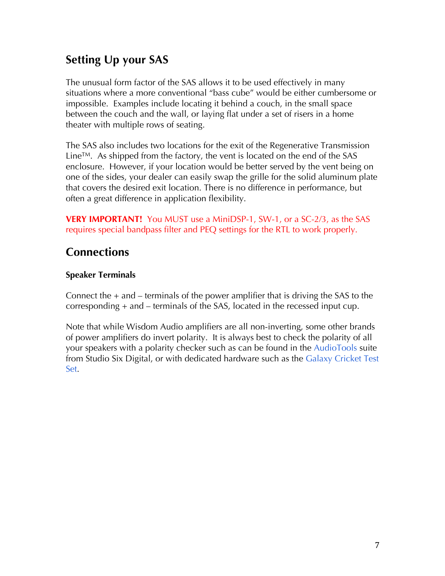# **Setting Up your SAS**

The unusual form factor of the SAS allows it to be used effectively in many situations where a more conventional "bass cube" would be either cumbersome or impossible. Examples include locating it behind a couch, in the small space between the couch and the wall, or laying flat under a set of risers in a home theater with multiple rows of seating.

The SAS also includes two locations for the exit of the Regenerative Transmission Line™. As shipped from the factory, the vent is located on the end of the SAS enclosure. However, if your location would be better served by the vent being on one of the sides, your dealer can easily swap the grille for the solid aluminum plate that covers the desired exit location. There is no difference in performance, but often a great difference in application flexibility.

**VERY IMPORTANT!** You MUST use a MiniDSP-1, SW-1, or a SC-2/3, as the SAS requires special bandpass filter and PEQ settings for the RTL to work properly.

## **Connections**

#### **Speaker Terminals**

Connect the  $+$  and  $-$  terminals of the power amplifier that is driving the SAS to the corresponding + and – terminals of the SAS, located in the recessed input cup.

Note that while Wisdom Audio amplifiers are all non-inverting, some other brands of power amplifiers do invert polarity. It is always best to check the polarity of all your speakers with a polarity checker such as can be found in the AudioTools suite from Studio Six Digital, or with dedicated hardware such as the Galaxy Cricket Test Set.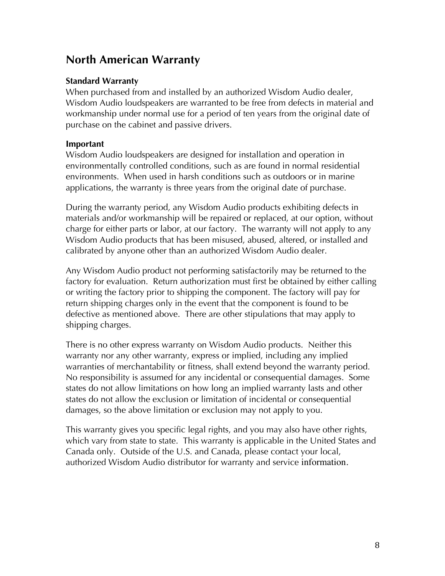### **North American Warranty**

#### **Standard Warranty**

When purchased from and installed by an authorized Wisdom Audio dealer, Wisdom Audio loudspeakers are warranted to be free from defects in material and workmanship under normal use for a period of ten years from the original date of purchase on the cabinet and passive drivers.

#### **Important**

Wisdom Audio loudspeakers are designed for installation and operation in environmentally controlled conditions, such as are found in normal residential environments. When used in harsh conditions such as outdoors or in marine applications, the warranty is three years from the original date of purchase.

During the warranty period, any Wisdom Audio products exhibiting defects in materials and/or workmanship will be repaired or replaced, at our option, without charge for either parts or labor, at our factory. The warranty will not apply to any Wisdom Audio products that has been misused, abused, altered, or installed and calibrated by anyone other than an authorized Wisdom Audio dealer.

Any Wisdom Audio product not performing satisfactorily may be returned to the factory for evaluation. Return authorization must first be obtained by either calling or writing the factory prior to shipping the component. The factory will pay for return shipping charges only in the event that the component is found to be defective as mentioned above. There are other stipulations that may apply to shipping charges.

There is no other express warranty on Wisdom Audio products. Neither this warranty nor any other warranty, express or implied, including any implied warranties of merchantability or fitness, shall extend beyond the warranty period. No responsibility is assumed for any incidental or consequential damages. Some states do not allow limitations on how long an implied warranty lasts and other states do not allow the exclusion or limitation of incidental or consequential damages, so the above limitation or exclusion may not apply to you.

This warranty gives you specific legal rights, and you may also have other rights, which vary from state to state. This warranty is applicable in the United States and Canada only. Outside of the U.S. and Canada, please contact your local, authorized Wisdom Audio distributor for warranty and service information.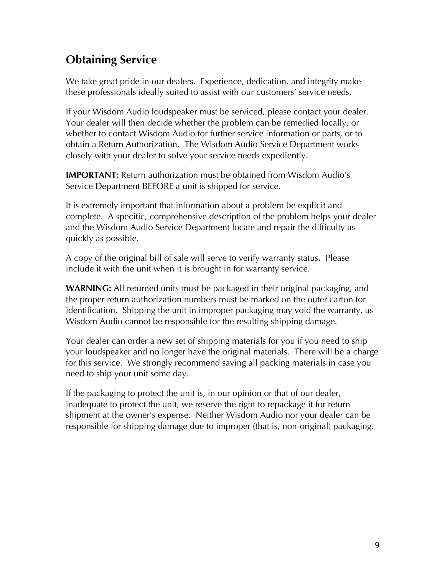# **Obtaining Service**

We take great pride in our dealers. Experience, dedication, and integrity make these professionals ideally suited to assist with our customers' service needs.

If your Wisdom Audio loudspeaker must be serviced, please contact your dealer. Your dealer will then decide whether the problem can be remedied locally, or whether to contact Wisdom Audio for further service information or parts, or to obtain a Return Authorization. The Wisdom Audio Service Department works closely with your dealer to solve your service needs expediently.

**IMPORTANT:** Return authorization must be obtained from Wisdom Audio's Service Department BEFORE a unit is shipped for service.

It is extremely important that information about a problem be explicit and complete. A specific, comprehensive description of the problem helps your dealer and the Wisdom Audio Service Department locate and repair the difficulty as quickly as possible.

A copy of the original bill of sale will serve to verify warranty status. Please include it with the unit when it is brought in for warranty service.

**WARNING:** All returned units must be packaged in their original packaging, and the proper return authorization numbers must be marked on the outer carton for identification. Shipping the unit in improper packaging may void the warranty, as Wisdom Audio cannot be responsible for the resulting shipping damage.

Your dealer can order a new set of shipping materials for you if you need to ship your loudspeaker and no longer have the original materials. There will be a charge for this service. We strongly recommend saving all packing materials in case you need to ship your unit some day.

If the packaging to protect the unit is, in our opinion or that of our dealer, inadequate to protect the unit, we reserve the right to repackage it for return shipment at the owner's expense. Neither Wisdom Audio nor your dealer can be responsible for shipping damage due to improper (that is, non-original) packaging.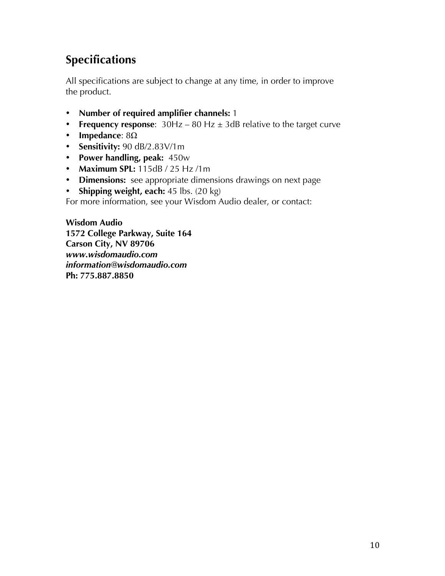# **Specifications**

All specifications are subject to change at any time, in order to improve the product.

- **Number of required amplifier channels:** 1
- **Frequency response**: 30Hz 80 Hz ± 3dB relative to the target curve
- **Impedance**: 8Ω
- **Sensitivity:** 90 dB/2.83V/1m
- **Power handling, peak:** 450w
- **Maximum SPL:** 115dB / 25 Hz /1m
- **Dimensions:** see appropriate dimensions drawings on next page
- **Shipping weight, each:** 45 lbs. (20 kg)

For more information, see your Wisdom Audio dealer, or contact:

**Wisdom Audio 1572 College Parkway, Suite 164 Carson City, NV 89706**  *www.wisdomaudio.com information@wisdomaudio.com*  **Ph: 775.887.8850**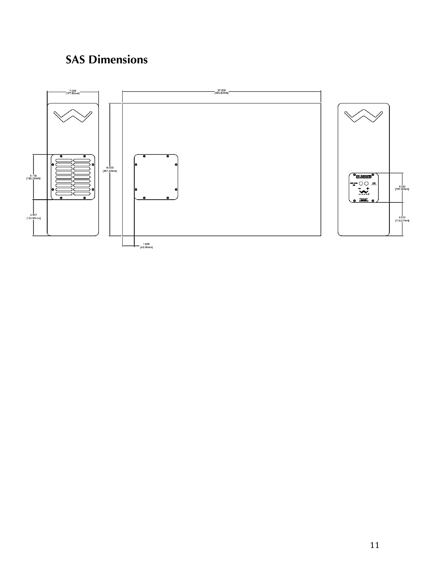# **SAS Dimensions**